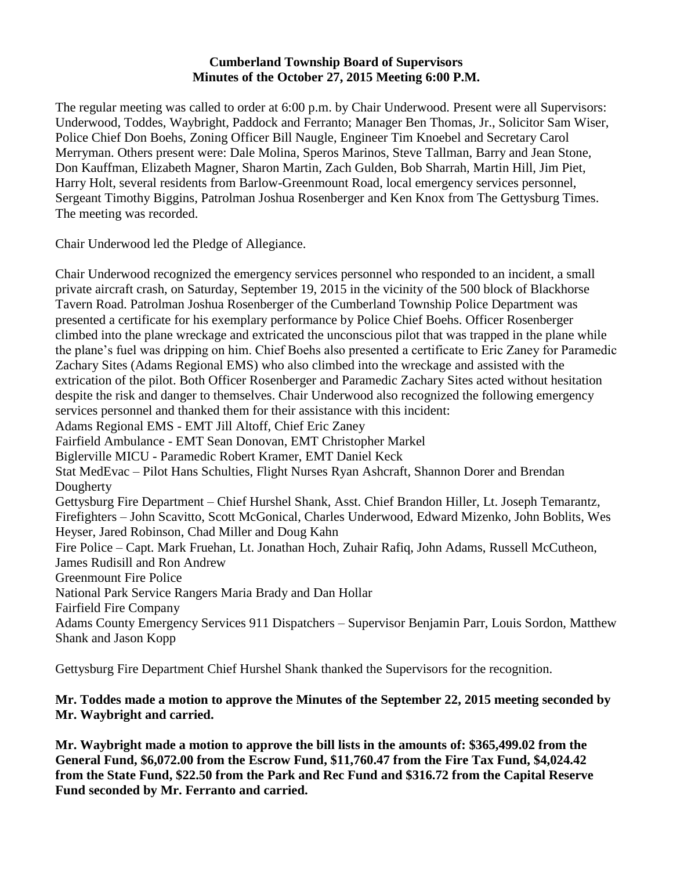#### **Cumberland Township Board of Supervisors Minutes of the October 27, 2015 Meeting 6:00 P.M.**

The regular meeting was called to order at 6:00 p.m. by Chair Underwood. Present were all Supervisors: Underwood, Toddes, Waybright, Paddock and Ferranto; Manager Ben Thomas, Jr., Solicitor Sam Wiser, Police Chief Don Boehs, Zoning Officer Bill Naugle, Engineer Tim Knoebel and Secretary Carol Merryman. Others present were: Dale Molina, Speros Marinos, Steve Tallman, Barry and Jean Stone, Don Kauffman, Elizabeth Magner, Sharon Martin, Zach Gulden, Bob Sharrah, Martin Hill, Jim Piet, Harry Holt, several residents from Barlow-Greenmount Road, local emergency services personnel, Sergeant Timothy Biggins, Patrolman Joshua Rosenberger and Ken Knox from The Gettysburg Times. The meeting was recorded.

Chair Underwood led the Pledge of Allegiance.

Chair Underwood recognized the emergency services personnel who responded to an incident, a small private aircraft crash, on Saturday, September 19, 2015 in the vicinity of the 500 block of Blackhorse Tavern Road. Patrolman Joshua Rosenberger of the Cumberland Township Police Department was presented a certificate for his exemplary performance by Police Chief Boehs. Officer Rosenberger climbed into the plane wreckage and extricated the unconscious pilot that was trapped in the plane while the plane's fuel was dripping on him. Chief Boehs also presented a certificate to Eric Zaney for Paramedic Zachary Sites (Adams Regional EMS) who also climbed into the wreckage and assisted with the extrication of the pilot. Both Officer Rosenberger and Paramedic Zachary Sites acted without hesitation despite the risk and danger to themselves. Chair Underwood also recognized the following emergency services personnel and thanked them for their assistance with this incident: Adams Regional EMS - EMT Jill Altoff, Chief Eric Zaney Fairfield Ambulance - EMT Sean Donovan, EMT Christopher Markel Biglerville MICU - Paramedic Robert Kramer, EMT Daniel Keck Stat MedEvac – Pilot Hans Schulties, Flight Nurses Ryan Ashcraft, Shannon Dorer and Brendan Dougherty Gettysburg Fire Department – Chief Hurshel Shank, Asst. Chief Brandon Hiller, Lt. Joseph Temarantz, Firefighters – John Scavitto, Scott McGonical, Charles Underwood, Edward Mizenko, John Boblits, Wes Heyser, Jared Robinson, Chad Miller and Doug Kahn Fire Police – Capt. Mark Fruehan, Lt. Jonathan Hoch, Zuhair Rafiq, John Adams, Russell McCutheon, James Rudisill and Ron Andrew Greenmount Fire Police National Park Service Rangers Maria Brady and Dan Hollar Fairfield Fire Company Adams County Emergency Services 911 Dispatchers – Supervisor Benjamin Parr, Louis Sordon, Matthew Shank and Jason Kopp

Gettysburg Fire Department Chief Hurshel Shank thanked the Supervisors for the recognition.

### **Mr. Toddes made a motion to approve the Minutes of the September 22, 2015 meeting seconded by Mr. Waybright and carried.**

**Mr. Waybright made a motion to approve the bill lists in the amounts of: \$365,499.02 from the General Fund, \$6,072.00 from the Escrow Fund, \$11,760.47 from the Fire Tax Fund, \$4,024.42 from the State Fund, \$22.50 from the Park and Rec Fund and \$316.72 from the Capital Reserve Fund seconded by Mr. Ferranto and carried.**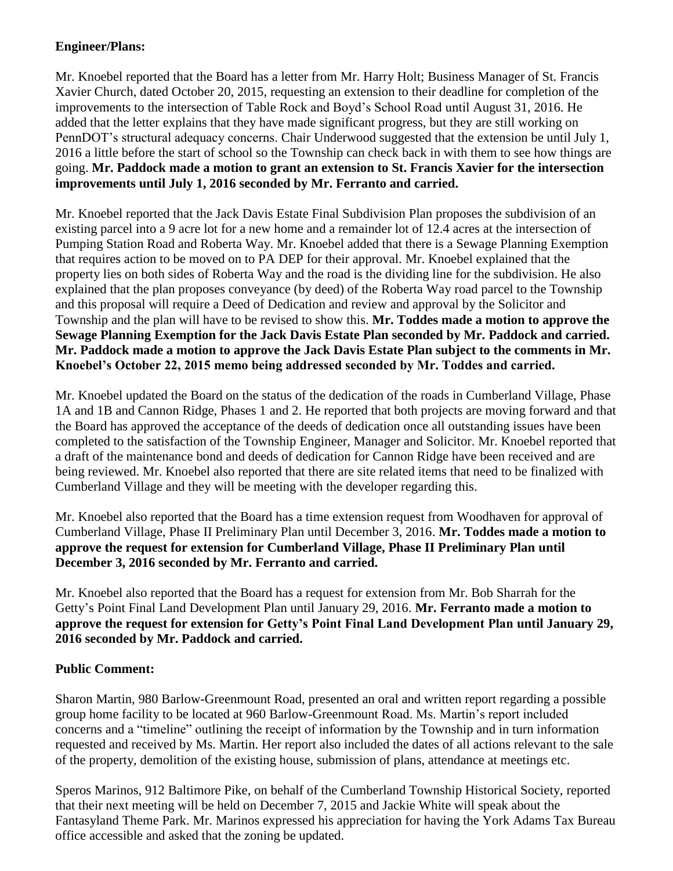## **Engineer/Plans:**

Mr. Knoebel reported that the Board has a letter from Mr. Harry Holt; Business Manager of St. Francis Xavier Church, dated October 20, 2015, requesting an extension to their deadline for completion of the improvements to the intersection of Table Rock and Boyd's School Road until August 31, 2016. He added that the letter explains that they have made significant progress, but they are still working on PennDOT's structural adequacy concerns. Chair Underwood suggested that the extension be until July 1, 2016 a little before the start of school so the Township can check back in with them to see how things are going. **Mr. Paddock made a motion to grant an extension to St. Francis Xavier for the intersection improvements until July 1, 2016 seconded by Mr. Ferranto and carried.**

Mr. Knoebel reported that the Jack Davis Estate Final Subdivision Plan proposes the subdivision of an existing parcel into a 9 acre lot for a new home and a remainder lot of 12.4 acres at the intersection of Pumping Station Road and Roberta Way. Mr. Knoebel added that there is a Sewage Planning Exemption that requires action to be moved on to PA DEP for their approval. Mr. Knoebel explained that the property lies on both sides of Roberta Way and the road is the dividing line for the subdivision. He also explained that the plan proposes conveyance (by deed) of the Roberta Way road parcel to the Township and this proposal will require a Deed of Dedication and review and approval by the Solicitor and Township and the plan will have to be revised to show this. **Mr. Toddes made a motion to approve the Sewage Planning Exemption for the Jack Davis Estate Plan seconded by Mr. Paddock and carried. Mr. Paddock made a motion to approve the Jack Davis Estate Plan subject to the comments in Mr. Knoebel's October 22, 2015 memo being addressed seconded by Mr. Toddes and carried.**

Mr. Knoebel updated the Board on the status of the dedication of the roads in Cumberland Village, Phase 1A and 1B and Cannon Ridge, Phases 1 and 2. He reported that both projects are moving forward and that the Board has approved the acceptance of the deeds of dedication once all outstanding issues have been completed to the satisfaction of the Township Engineer, Manager and Solicitor. Mr. Knoebel reported that a draft of the maintenance bond and deeds of dedication for Cannon Ridge have been received and are being reviewed. Mr. Knoebel also reported that there are site related items that need to be finalized with Cumberland Village and they will be meeting with the developer regarding this.

Mr. Knoebel also reported that the Board has a time extension request from Woodhaven for approval of Cumberland Village, Phase II Preliminary Plan until December 3, 2016. **Mr. Toddes made a motion to approve the request for extension for Cumberland Village, Phase II Preliminary Plan until December 3, 2016 seconded by Mr. Ferranto and carried.** 

Mr. Knoebel also reported that the Board has a request for extension from Mr. Bob Sharrah for the Getty's Point Final Land Development Plan until January 29, 2016. **Mr. Ferranto made a motion to approve the request for extension for Getty's Point Final Land Development Plan until January 29, 2016 seconded by Mr. Paddock and carried.**

# **Public Comment:**

Sharon Martin, 980 Barlow-Greenmount Road, presented an oral and written report regarding a possible group home facility to be located at 960 Barlow-Greenmount Road. Ms. Martin's report included concerns and a "timeline" outlining the receipt of information by the Township and in turn information requested and received by Ms. Martin. Her report also included the dates of all actions relevant to the sale of the property, demolition of the existing house, submission of plans, attendance at meetings etc.

Speros Marinos, 912 Baltimore Pike, on behalf of the Cumberland Township Historical Society, reported that their next meeting will be held on December 7, 2015 and Jackie White will speak about the Fantasyland Theme Park. Mr. Marinos expressed his appreciation for having the York Adams Tax Bureau office accessible and asked that the zoning be updated.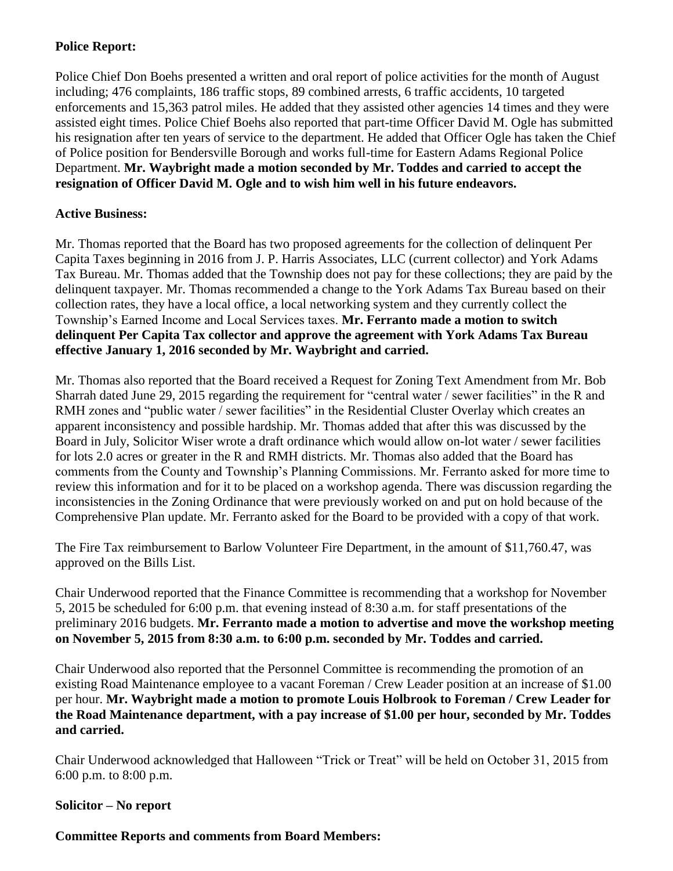### **Police Report:**

Police Chief Don Boehs presented a written and oral report of police activities for the month of August including; 476 complaints, 186 traffic stops, 89 combined arrests, 6 traffic accidents, 10 targeted enforcements and 15,363 patrol miles. He added that they assisted other agencies 14 times and they were assisted eight times. Police Chief Boehs also reported that part-time Officer David M. Ogle has submitted his resignation after ten years of service to the department. He added that Officer Ogle has taken the Chief of Police position for Bendersville Borough and works full-time for Eastern Adams Regional Police Department. **Mr. Waybright made a motion seconded by Mr. Toddes and carried to accept the resignation of Officer David M. Ogle and to wish him well in his future endeavors.**

### **Active Business:**

Mr. Thomas reported that the Board has two proposed agreements for the collection of delinquent Per Capita Taxes beginning in 2016 from J. P. Harris Associates, LLC (current collector) and York Adams Tax Bureau. Mr. Thomas added that the Township does not pay for these collections; they are paid by the delinquent taxpayer. Mr. Thomas recommended a change to the York Adams Tax Bureau based on their collection rates, they have a local office, a local networking system and they currently collect the Township's Earned Income and Local Services taxes. **Mr. Ferranto made a motion to switch delinquent Per Capita Tax collector and approve the agreement with York Adams Tax Bureau effective January 1, 2016 seconded by Mr. Waybright and carried.**

Mr. Thomas also reported that the Board received a Request for Zoning Text Amendment from Mr. Bob Sharrah dated June 29, 2015 regarding the requirement for "central water / sewer facilities" in the R and RMH zones and "public water / sewer facilities" in the Residential Cluster Overlay which creates an apparent inconsistency and possible hardship. Mr. Thomas added that after this was discussed by the Board in July, Solicitor Wiser wrote a draft ordinance which would allow on-lot water / sewer facilities for lots 2.0 acres or greater in the R and RMH districts. Mr. Thomas also added that the Board has comments from the County and Township's Planning Commissions. Mr. Ferranto asked for more time to review this information and for it to be placed on a workshop agenda. There was discussion regarding the inconsistencies in the Zoning Ordinance that were previously worked on and put on hold because of the Comprehensive Plan update. Mr. Ferranto asked for the Board to be provided with a copy of that work.

The Fire Tax reimbursement to Barlow Volunteer Fire Department, in the amount of \$11,760.47, was approved on the Bills List.

Chair Underwood reported that the Finance Committee is recommending that a workshop for November 5, 2015 be scheduled for 6:00 p.m. that evening instead of 8:30 a.m. for staff presentations of the preliminary 2016 budgets. **Mr. Ferranto made a motion to advertise and move the workshop meeting on November 5, 2015 from 8:30 a.m. to 6:00 p.m. seconded by Mr. Toddes and carried.**

Chair Underwood also reported that the Personnel Committee is recommending the promotion of an existing Road Maintenance employee to a vacant Foreman / Crew Leader position at an increase of \$1.00 per hour. **Mr. Waybright made a motion to promote Louis Holbrook to Foreman / Crew Leader for the Road Maintenance department, with a pay increase of \$1.00 per hour, seconded by Mr. Toddes and carried.**

Chair Underwood acknowledged that Halloween "Trick or Treat" will be held on October 31, 2015 from 6:00 p.m. to 8:00 p.m.

### **Solicitor – No report**

### **Committee Reports and comments from Board Members:**